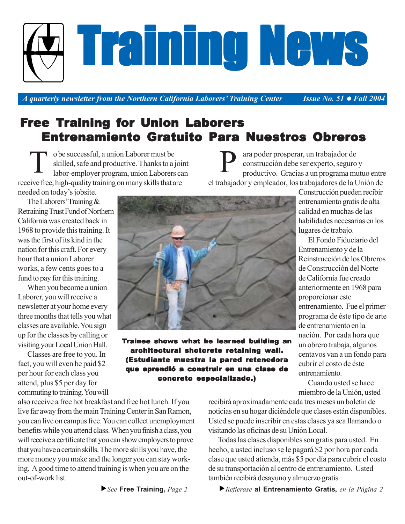*A quarterly newsletter from the Northern California Laborers' Training Center Issue No. 51 • Fall 2004* 

## Free Training for Union Laborers Entrenamiento Gratuito Para Nuestros Obreros

o be successful, a union Laborer must be skilled, safe and productive. Thanks to a joint labor-employer program, union Laborers can receive free, high-quality training on many skills that are needed on today's jobsite. T

ara poder prosperar, un trabajador de construcción debe ser experto, seguro y productivo. Gracias a un programa mutuo entre el trabajador y empleador, los trabajadores de la Unión de P

The Laborers' Training & Retraining Trust Fund of Northern California was created back in 1968 to provide this training. It was the first of its kind in the nation for this craft. For every hour that a union Laborer works, a few cents goes to a fund to pay for this training.

When you become a union Laborer, you will receive a newsletter at your home every three months that tells you what classes are available. You sign up for the classes by calling or visiting your Local Union Hall.

Classes are free to you. In fact, you will even be paid \$2 per hour for each class you attend, plus \$5 per day for commuting to training. You will Trainee shows what he learned building an architectural shotcrete retaining wall. (Estudiante muestra la pared retenedora que aprendió a construir en una clase de concreto especializado.)

Construcción pueden recibir entrenamiento gratis de alta calidad en muchas de las habilidades necesarias en los lugares de trabajo.

El Fondo Fiduciario del Entrenamiento y de la Reinstrucción de los Obreros de Construcción del Norte de California fue creado anteriormente en 1968 para proporcionar este entrenamiento. Fue el primer programa de éste tipo de arte de entrenamiento en la nación. Por cada hora que un obrero trabaja, algunos centavos van a un fondo para cubrir el costo de éste entrenamiento.

Cuando usted se hace miembro de la Unión, usted

also receive a free hot breakfast and free hot lunch. If you live far away from the main Training Center in San Ramon, you can live on campus free. You can collect unemployment benefits while you attend class. When you finish a class, you will receive a certificate that you can show employers to prove that you have a certain skills. The more skills you have, the more money you make and the longer you can stay working. A good time to attend training is when you are on the out-of-work list.

recibirá aproximadamente cada tres meses un boletín de noticias en su hogar diciéndole que clases están disponibles. Usted se puede inscribir en estas clases ya sea llamando o visitando las oficinas de su Unión Local.

Todas las clases disponibles son gratis para usted. En hecho, a usted incluso se le pagará \$2 por hora por cada clase que usted atienda, más \$5 por día para cubrir el costo de su transportación al centro de entrenamiento. Usted también recibirá desayuno y almuerzo gratis.

f*Refierase* **al Entrenamiento Gratis,** *en la Página 2*



# Training News Training News Training News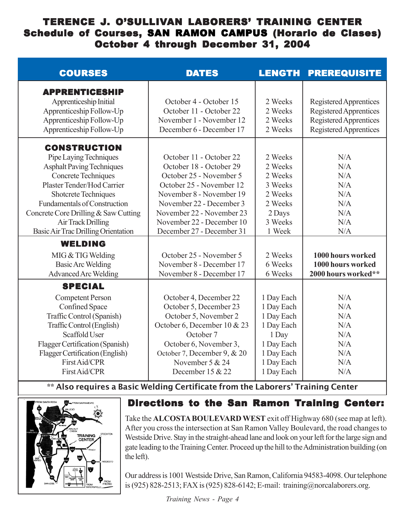## TERENCE J. O'SULLIVAN LABORERS' TRAINING CENTER Schedule of Courses, SAN RAMON CAMPUS (Horario de Clases) October 4 through December 31, 2004

| <b>COURSES</b>                                                                                                                                                                                                                                                                                                           | <b>DATES</b>                                                                                                                                                                                                                                             | <b>LENGTH</b>                                                                                                         | <b>PREREQUISITE</b>                                                                                  |
|--------------------------------------------------------------------------------------------------------------------------------------------------------------------------------------------------------------------------------------------------------------------------------------------------------------------------|----------------------------------------------------------------------------------------------------------------------------------------------------------------------------------------------------------------------------------------------------------|-----------------------------------------------------------------------------------------------------------------------|------------------------------------------------------------------------------------------------------|
| <b>APPRENTICESHIP</b><br>Apprenticeship Initial<br>Apprenticeship Follow-Up<br>Apprenticeship Follow-Up<br>Apprenticeship Follow-Up                                                                                                                                                                                      | October 4 - October 15<br>October 11 - October 22<br>November 1 - November 12<br>December 6 - December 17                                                                                                                                                | 2 Weeks<br>2 Weeks<br>2 Weeks<br>2 Weeks                                                                              | Registered Apprentices<br>Registered Apprentices<br>Registered Apprentices<br>Registered Apprentices |
| <b>CONSTRUCTION</b><br>Pipe Laying Techniques<br><b>Asphalt Paving Techniques</b><br>Concrete Techniques<br>Plaster Tender/Hod Carrier<br><b>Shotcrete Techniques</b><br><b>Fundamentals of Construction</b><br>Concrete Core Drilling & Saw Cutting<br><b>Air Track Drilling</b><br>Basic Air Trac Drilling Orientation | October 11 - October 22<br>October 18 - October 29<br>October 25 - November 5<br>October 25 - November 12<br>November 8 - November 19<br>November 22 - December 3<br>November 22 - November 23<br>November 22 - December 10<br>December 27 - December 31 | 2 Weeks<br>2 Weeks<br>2 Weeks<br>3 Weeks<br>2 Weeks<br>2 Weeks<br>2 Days<br>3 Weeks<br>1 Week                         | N/A<br>N/A<br>N/A<br>N/A<br>N/A<br>N/A<br>N/A<br>N/A<br>N/A                                          |
| <b>WELDING</b><br>MIG & TIG Welding<br><b>Basic Arc Welding</b><br><b>Advanced Arc Welding</b>                                                                                                                                                                                                                           | October 25 - November 5<br>November 8 - December 17<br>November 8 - December 17                                                                                                                                                                          | 2 Weeks<br>6 Weeks<br>6 Weeks                                                                                         | 1000 hours worked<br>1000 hours worked<br>2000 hours worked**                                        |
| <b>SPECIAL</b><br><b>Competent Person</b><br>Confined Space<br>Traffic Control (Spanish)<br>Traffic Control (English)<br>Scaffold User<br>Flagger Certification (Spanish)<br>Flagger Certification (English)<br>First Aid/CPR<br>First Aid/CPR                                                                           | October 4, December 22<br>October 5, December 23<br>October 5, November 2<br>October 6, December 10 & 23<br>October 7<br>October 6, November 3,<br>October 7, December 9, & 20<br>November 5 & 24<br>December 15 & 22                                    | 1 Day Each<br>1 Day Each<br>1 Day Each<br>1 Day Each<br>1 Day<br>1 Day Each<br>1 Day Each<br>1 Day Each<br>1 Day Each | N/A<br>N/A<br>N/A<br>N/A<br>N/A<br>N/A<br>N/A<br>N/A<br>N/A                                          |

\*\* Also requires a Basic Welding Certificate from the Laborers' Training Center



## Directions to the San Ramon Training Center:

Take the **ALCOSTA BOULEVARD WEST** exit off Highway 680 (see map at left). After you cross the intersection at San Ramon Valley Boulevard, the road changes to Westside Drive. Stay in the straight-ahead lane and look on your left for the large sign and gate leading to the Training Center. Proceed up the hill to the Administration building (on the left).

Our address is 1001 Westside Drive, San Ramon, California 94583-4098. Our telephone is (925) 828-2513; FAX is (925) 828-6142; E-mail: training@norcalaborers.org.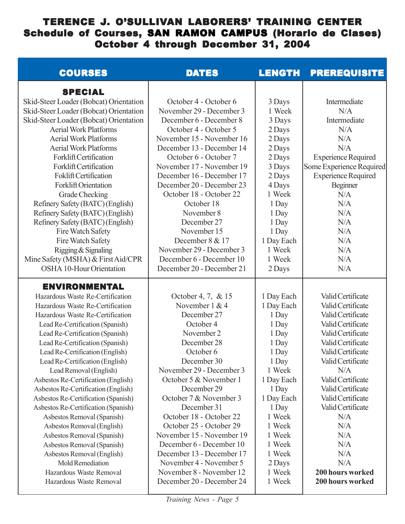## TERENCE J. O'SULLIVAN LABORERS' TRAINING CENTER Schedule of Courses, SAN RAMON CAMPUS (Horario de Clases) October 4 through December 31, 2004

| <b>COURSES</b>                         | <b>DATES</b>              | <b>LENGTH</b> | <b>PREREQUISITE</b>        |
|----------------------------------------|---------------------------|---------------|----------------------------|
| <b>SPECIAL</b>                         |                           |               |                            |
| Skid-Steer Loader (Bobcat) Orientation | October 4 - October 6     | 3 Days        | Intermediate               |
| Skid-Steer Loader (Bobcat) Orientation | November 29 - December 3  | 1 Week        | N/A                        |
| Skid-Steer Loader (Bobcat) Orientation | December 6 - December 8   | 3 Days        | Intermediate               |
| <b>Aerial Work Platforms</b>           | October 4 - October 5     | 2 Days        | N/A                        |
| <b>Aerial Work Platforms</b>           | November 15 - November 16 | 2 Days        | N/A                        |
| <b>Aerial Work Platforms</b>           | December 13 - December 14 | 2 Days        | N/A                        |
| <b>Forklift Certification</b>          | October 6 - October 7     | 2 Days        | <b>Experience Required</b> |
| <b>Forklift Certification</b>          | November 17 - November 19 | 3 Days        | Some Experience Required   |
| Foklift Certification                  | December 16 - December 17 | 2 Days        | <b>Experience Required</b> |
| <b>Forklift Orientation</b>            | December 20 - December 23 | 4 Days        | <b>Beginner</b>            |
| Grade Checking                         | October 18 - October 22   | 1 Week        | N/A                        |
| Refinery Safety (BATC) (English)       | October 18                | 1 Day         | N/A                        |
| Refinery Safety (BATC) (English)       | November 8                | 1 Day         | N/A                        |
| Refinery Safety (BATC) (English)       | December 27               | 1 Day         | N/A                        |
| Fire Watch Safety                      | November 15               | 1 Day         | N/A                        |
| Fire Watch Safety                      | December 8 & 17           | 1 Day Each    | N/A                        |
| Rigging & Signaling                    | November 29 - December 3  | 1 Week        | N/A                        |
| Mine Safety (MSHA) & First Aid/CPR     | December 6 - December 10  | 1 Week        | N/A                        |
| <b>OSHA 10-Hour Orientation</b>        | December 20 - December 21 | 2 Days        | N/A                        |
| <b>ENVIRONMENTAL</b>                   |                           |               |                            |
| Hazardous Waste Re-Certification       | October 4, 7, & 15        | 1 Day Each    | Valid Certificate          |
| Hazardous Waste Re-Certification       | November 1 & 4            | 1 Day Each    | Valid Certificate          |
| Hazardous Waste Re-Certification       | December 27               | 1 Day         | Valid Certificate          |
| Lead Re-Certification (Spanish)        | October 4                 | 1 Day         | Valid Certificate          |
| Lead Re-Certification (Spanish)        | November 2                | 1 Day         | Valid Certificate          |
| Lead Re-Certification (Spanish)        | December 28               | 1 Day         | Valid Certificate          |
| Lead Re-Certification (English)        | October 6                 | 1 Day         | Valid Certificate          |
| Lead Re-Certification (English)        | December 30               | 1 Day         | Valid Certificate          |
| Lead Removal (English)                 | November 29 - December 3  | 1 Week        | N/A                        |
| Asbestos Re-Certification (English)    | October 5 & November 1    | 1 Day Each    | Valid Certificate          |
| Asbestos Re-Certification (English)    | December 29               | 1 Day         | Valid Certificate          |
| Asbestos Re-Certification (Spanish)    | October 7 & November 3    | 1 Day Each    | Valid Certificate          |
| Asbestos Re-Certification (Spanish)    | December 31               | 1 Day         | Valid Certificate          |
| Asbestos Removal (Spanish)             | October 18 - October 22   | 1 Week        | N/A                        |
| Asbestos Removal (English)             | October 25 - October 29   | 1 Week        | N/A                        |
| Asbestos Removal (Spanish)             | November 15 - November 19 | 1 Week        | N/A                        |
| Asbestos Removal (Spanish)             | December 6 - December 10  | 1 Week        | N/A                        |
| Asbestos Removal (English)             | December 13 - December 17 | 1 Week        | N/A                        |
| Mold Remediation                       | November 4 - November 5   | 2 Days        | N/A                        |
| Hazardous Waste Removal                | November 8 - November 12  | 1 Week        | 200 hours worked           |
| Hazardous Waste Removal                | December 20 - December 24 | 1 Week        | 200 hours worked           |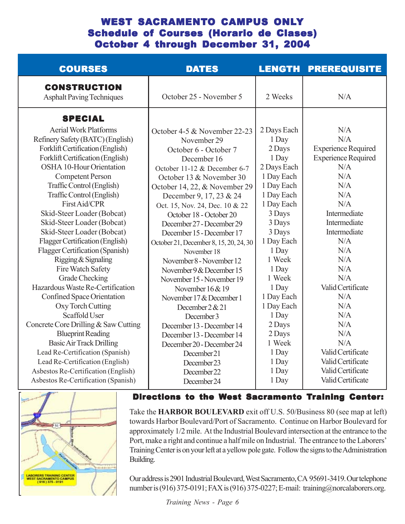## WEST SACRAMENTO CAMPUS ONLY Schedule of Courses (Horario de Clases) October 4 through December 31, 2004

| <b>COURSES</b>                                                                                                                                                                                                                                                                                                                                                                                                                                                                                                                                                                                                                                                                                                                                                    | <b>DATES</b>                                                                                                                                                                                                                                                                                                                                                                                                                                                                                                                                                                                                                                                                | <b>LENGTH</b>                                                                                                                                                                                                                                                                         | <b>PREREQUISITE</b>                                                                                                                                                                                                                                                              |
|-------------------------------------------------------------------------------------------------------------------------------------------------------------------------------------------------------------------------------------------------------------------------------------------------------------------------------------------------------------------------------------------------------------------------------------------------------------------------------------------------------------------------------------------------------------------------------------------------------------------------------------------------------------------------------------------------------------------------------------------------------------------|-----------------------------------------------------------------------------------------------------------------------------------------------------------------------------------------------------------------------------------------------------------------------------------------------------------------------------------------------------------------------------------------------------------------------------------------------------------------------------------------------------------------------------------------------------------------------------------------------------------------------------------------------------------------------------|---------------------------------------------------------------------------------------------------------------------------------------------------------------------------------------------------------------------------------------------------------------------------------------|----------------------------------------------------------------------------------------------------------------------------------------------------------------------------------------------------------------------------------------------------------------------------------|
| <b>CONSTRUCTION</b><br><b>Asphalt Paving Techniques</b>                                                                                                                                                                                                                                                                                                                                                                                                                                                                                                                                                                                                                                                                                                           | October 25 - November 5                                                                                                                                                                                                                                                                                                                                                                                                                                                                                                                                                                                                                                                     | 2 Weeks                                                                                                                                                                                                                                                                               | N/A                                                                                                                                                                                                                                                                              |
| <b>SPECIAL</b>                                                                                                                                                                                                                                                                                                                                                                                                                                                                                                                                                                                                                                                                                                                                                    |                                                                                                                                                                                                                                                                                                                                                                                                                                                                                                                                                                                                                                                                             |                                                                                                                                                                                                                                                                                       |                                                                                                                                                                                                                                                                                  |
| <b>Aerial Work Platforms</b><br>Refinery Safety (BATC) (English)<br>Forklift Certification (English)<br>Forklift Certification (English)<br><b>OSHA 10-Hour Orientation</b><br><b>Competent Person</b><br>Traffic Control (English)<br>Traffic Control (English)<br>First Aid/CPR<br>Skid-Steer Loader (Bobcat)<br>Skid-Steer Loader (Bobcat)<br>Skid-Steer Loader (Bobcat)<br>Flagger Certification (English)<br>Flagger Certification (Spanish)<br>Rigging & Signaling<br>Fire Watch Safety<br>Grade Checking<br>Hazardous Waste Re-Certification<br>Confined Space Orientation<br>Oxy Torch Cutting<br>Scaffold User<br>Concrete Core Drilling & Saw Cutting<br><b>Blueprint Reading</b><br><b>Basic Air Track Drilling</b><br>Lead Re-Certification (Spanish) | October 4-5 & November 22-23<br>November 29<br>October 6 - October 7<br>December 16<br>October 11-12 & December 6-7<br>October 13 & November 30<br>October 14, 22, & November 29<br>December 9, 17, 23 & 24<br>Oct. 15, Nov. 24, Dec. 10 & 22<br>October 18 - October 20<br>December 27 - December 29<br>December 15 - December 17<br>October 21, December 8, 15, 20, 24, 30<br>November 18<br>November 8 - November 12<br>November 9 & December 15<br>November 15 - November 19<br>November $16 & 19$<br>November 17 & December 1<br>December $2 & 21$<br>December 3<br>December 13 - December 14<br>December 13 - December 14<br>December 20 - December 24<br>December 21 | 2 Days Each<br>1 Day<br>2 Days<br>1 Day<br>2 Days Each<br>1 Day Each<br>1 Day Each<br>1 Day Each<br>1 Day Each<br>3 Days<br>3 Days<br>3 Days<br>1 Day Each<br>1 Day<br>1 Week<br>1 Day<br>1 Week<br>1 Day<br>1 Day Each<br>1 Day Each<br>1 Day<br>2 Days<br>2 Days<br>1 Week<br>1 Day | N/A<br>N/A<br><b>Experience Required</b><br><b>Experience Required</b><br>N/A<br>N/A<br>N/A<br>N/A<br>N/A<br>Intermediate<br>Intermediate<br>Intermediate<br>N/A<br>N/A<br>N/A<br>N/A<br>N/A<br>Valid Certificate<br>N/A<br>N/A<br>N/A<br>N/A<br>N/A<br>N/A<br>Valid Certificate |
| Lead Re-Certification (English)<br>Asbestos Re-Certification (English)<br>Asbestos Re-Certification (Spanish)                                                                                                                                                                                                                                                                                                                                                                                                                                                                                                                                                                                                                                                     | December 23<br>December 22<br>December 24                                                                                                                                                                                                                                                                                                                                                                                                                                                                                                                                                                                                                                   | 1 Day<br>1 Day<br>1 Day                                                                                                                                                                                                                                                               | Valid Certificate<br>Valid Certificate<br>Valid Certificate                                                                                                                                                                                                                      |
|                                                                                                                                                                                                                                                                                                                                                                                                                                                                                                                                                                                                                                                                                                                                                                   |                                                                                                                                                                                                                                                                                                                                                                                                                                                                                                                                                                                                                                                                             |                                                                                                                                                                                                                                                                                       |                                                                                                                                                                                                                                                                                  |



Directions to the West Sacramento Training Center:

Take the **HARBOR BOULEVARD** exit of U.S. 50/Business 80 (see map at left) towards Harbor Boulevard/Port of Sacramento. Continue on Harbor Boulevard for approximately 1/2 mile. At the Industrial Boulevard intersection at the entrance to the Port, make a right and continue a half mile on Industrial. The entrance to the Laborers' Training Center is on your left at a yellow pole gate. Follow the signs to the Administration Building.

Our address is 2901 Industrial Boulevard, West Sacramento, CA 95691-3419. Our telephone number is (916) 375-0191; FAX is (916) 375-0227; E-mail: training@norcalaborers.org.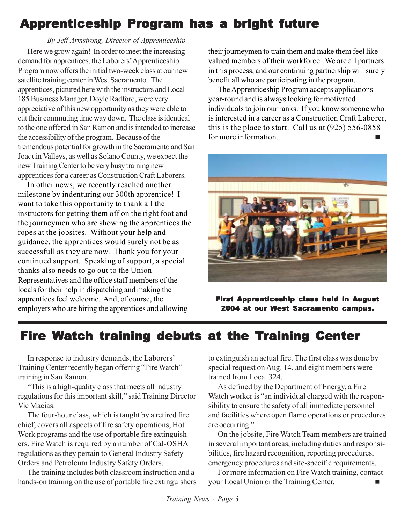# Apprenticeship Program has a bright future

Here we grow again! In order to meet the increasing demand for apprentices, the Laborers' Apprenticeship Program now offers the initial two-week class at our new satellite training center in West Sacramento. The apprentices, pictured here with the instructors and Local 185 Business Manager, Doyle Radford, were very appreciative of this new opportunity as they were able to cut their commuting time way down. The class is identical to the one offered in San Ramon and is intended to increase the accessibility of the program. Because of the tremendous potential for growth in the Sacramento and San Joaquin Valleys, as well as Solano County, we expect the new Training Center to be very busy training new apprentices for a career as Construction Craft Laborers.  *By Jeff Armstrong, Director of Apprenticeship*

In other news, we recently reached another milestone by indenturing our 300th apprentice! I want to take this opportunity to thank all the instructors for getting them off on the right foot and the journeymen who are showing the apprentices the ropes at the jobsites. Without your help and guidance, the apprentices would surely not be as successfull as they are now. Thank you for your continued support. Speaking of support, a special thanks also needs to go out to the Union Representatives and the office staff members of the locals for their help in dispatching and making the apprentices feel welcome. And, of course, the employers who are hiring the apprentices and allowing

their journeymen to train them and make them feel like valued members of their workforce. We are all partners in this process, and our continuing partnership will surely benefit all who are participating in the program.

The Apprenticeship Program accepts applications year-round and is always looking for motivated individuals to join our ranks. If you know someone who is interested in a career as a Construction Craft Laborer, this is the place to start. Call us at (925) 556-0858 for more information.



First Apprenticeship class held in August 2004 at our West Sacramento campus.

# Fire Watch training debuts at the Training Center

In response to industry demands, the Laborers' Training Center recently began offering "Fire Watch" training in San Ramon.

"This is a high-quality class that meets all industry regulations for this important skill," said Training Director Vic Macias.

The four-hour class, which is taught by a retired fire chief, covers all aspects of fire safety operations, Hot Work programs and the use of portable fire extinguishers. Fire Watch is required by a number of Cal-OSHA regulations as they pertain to General Industry Safety Orders and Petroleum Industry Safety Orders.

The training includes both classroom instruction and a hands-on training on the use of portable fire extinguishers to extinguish an actual fire. The first class was done by special request on Aug. 14, and eight members were trained from Local 324.

As defined by the Department of Energy, a Fire Watch worker is "an individual charged with the responsibility to ensure the safety of all immediate personnel and facilities where open flame operations or procedures are occurring."

On the jobsite, Fire Watch Team members are trained in several important areas, including duties and responsibilities, fire hazard recognition, reporting procedures, emergency procedures and site-specific requirements.

For more information on Fire Watch training, contact your Local Union or the Training Center.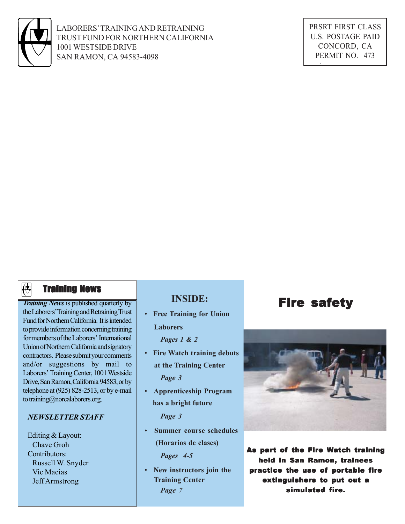

LABORERS' TRAINING AND RETRAINING TRUST FUND FOR NORTHERN CALIFORNIA 1001 WESTSIDE DRIVE SAN RAMON, CA 94583-4098

PRSRT FIRST CLASS U.S. POSTAGE PAID CONCORD, CA PERMIT NO. 473

## $\overline{\left(\biguplus$  **Training News**

*Training News* is published quarterly by the Laborers' Training and Retraining Trust Fund for Northern California. It is intended to provide information concerning training for members of the Laborers' International Union of Northern California and signatory contractors. Please submit your comments and/or suggestions by mail to Laborers' Training Center, 1001 Westside Drive, San Ramon, California 94583, or by telephone at (925) 828-2513, or by e-mail to training@norcalaborers.org.

#### *NEWSLETTER STAFF*

Editing & Layout: Chave Groh Contributors: Russell W. Snyder Vic Macias Jeff Armstrong

## **INSIDE:**

 • **Free Training for Union Laborers**

*Pages 1 & 2*

- • **Fire Watch training debuts at the Training Center** *Page 3*
- • **Apprenticeship Program has a bright future**

*Page 3*

 • **Summer course schedules (Horarios de clases)**

*Pages 4-5*

 • **New instructors join the Training Center** *Page 7*

## Fire safety



As part of the Fire Watch training held in San Ramon, trainees practice the use of portable fire extinguishers to put out a simulated fire.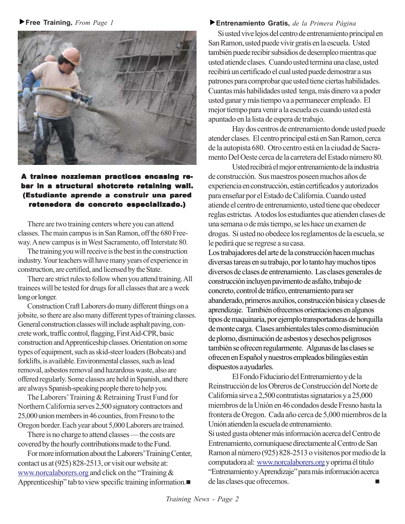f**Free Training,** *From Page 1*



### A trainee nozzleman practices encasing rebar in a structural shotcrete retaining wall. (Estudiante aprende a construir una pared retenedora de concreto especializado.)

There are two training centers where you can attend classes. The main campus is in San Ramon, off the 680 Freeway. A new campus is in West Sacramento, off Interstate 80.

The training you will receive is the best in the construction industry. Your teachers will have many years of experience in construction, are certified, and licensed by the State.

There are strict rules to follow when you attend training. All trainees will be tested for drugs for all classes that are a week long or longer.

Construction Craft Laborers do many different things on a jobsite, so there are also many different types of training classes. General construction classes will include asphalt paving, concrete work, traffic control, flagging, First Aid-CPR, basic construction and Apprenticeship classes. Orientation on some types of equipment, such as skid-steer loaders (Bobcats) and forklifts, is available. Environmental classes, such as lead removal, asbestos removal and hazardous waste, also are offered regularly. Some classes are held in Spanish, and there are always Spanish-speaking people there to help you.

The Laborers' Training & Retraining Trust Fund for Northern California serves 2,500 signatory contractors and 25,000 union members in 46 counties, from Fresno to the Oregon border. Each year about 5,000 Laborers are trained.

There is no charge to attend classes — the costs are covered by the hourly contributions made to the Fund.

For more information about the Laborers' Training Center, contact us at (925) 828-2513, or visit our website at: www.norcalaborers.org and click on the "Training & Apprenticeship" tab to view specific training information.

#### f**Entrenamiento Gratis,** *de la Primera Página*

Si usted vive lejos del centro de entrenamiento principal en San Ramon, usted puede vivir gratis en la escuela. Usted también puede recibir subsidios de desempleo mientras que usted atiende clases. Cuando usted termina una clase, usted recibirá un certificado el cual usted puede demostrar a sus patrones para comprobar que usted tiene ciertas habilidades. Cuantas más habilidades usted tenga, más dinero va a poder usted ganar y más tiempo va a permanecer empleado. El mejor tiempo para venir a la escuela es cuando usted está apuntado en la lista de espera de trabajo.

Hay dos centros de entrenamiento donde usted puede atender clases. El centro principal está en San Ramon, cerca de la autopista 680. Otro centro está en la ciudad de Sacramento Del Oeste cerca de la carretera del Estado número 80.

Usted recibirá el mejor entrenamiento de la industria de construcción. Sus maestros poseen muchos años de experiencia en construcción, están certificados y autorizados para enseñar por el Estado de California. Cuando usted atiende el centro de entrenamiento, usted tiene que obedecer reglas estrictas. A todos los estudiantes que atienden clases de una semana o de más tiempo, se les hace un examen de drogas. Si usted no obedece los reglamentos de la escuela, se le pedirá que se regrese a su casa.

Los trabajadores del arte de la construcción hacen muchas diversas tareas en su trabajo, por lo tanto hay muchos tipos diversos de clases de entrenamiento. Las clases generales de construcción incluyen pavimento de asfalto, trabajo de concreto, control de tráfico, entrenamiento para ser abanderado, primeros auxilios, construcción básica y clases de aprendizaje. También ofrecemos orientaciones en algunos tipos de maquinaria, por ejemplo transportadoras de horquilla de monte carga. Clases ambientales tales como disminución de plomo, disminución de asbestos y desechos peligrosos también se ofrecen regularmente. Algunas de las clases se ofrecen en Español y nuestros empleados bilingües están dispuestos a ayudarles.

El Fondo Fiduciario del Entrenamiento y de la Reinstrucción de los Obreros de Construcción del Norte de California sirve a 2,500 contratistas signatarios y a 25,000 miembros de la Unión en 46 condados desde Fresno hasta la frontera de Oregon. Cada año cerca de 5,000 miembros de la Unión atienden la escuela de entrenamiento. Si usted gusta obtener más información acerca del Centro de Entrenamiento, comuníquese directamente al Centro de San Ramon al número (925) 828-2513 o visítenos por medio de la computadora al: www.norcalaborers.org y oprima él titulo "Entrenamiento y Aprendizaje" para más información acerca de las clases que ofrecemos.